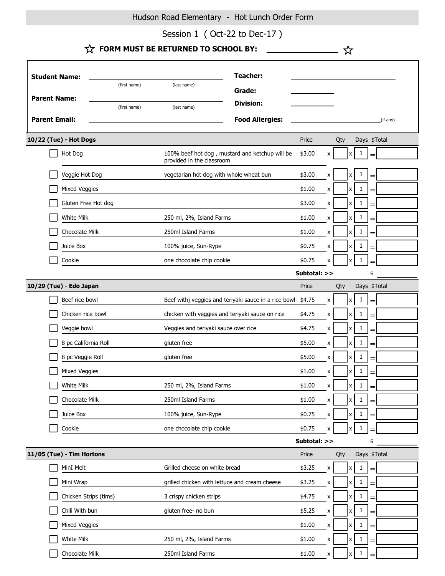Hudson Road Elementary - Hot Lunch Order Form

Session 1 (Oct-22 to Dec-17)

- ☆

| <b>Student Name:</b>   |                           |              |                                                 | <b>Teacher:</b>                                      |              |                    |     |                    |              |     |          |
|------------------------|---------------------------|--------------|-------------------------------------------------|------------------------------------------------------|--------------|--------------------|-----|--------------------|--------------|-----|----------|
|                        |                           | (first name) | (last name)                                     | Grade:                                               |              |                    |     |                    |              |     |          |
| <b>Parent Name:</b>    |                           |              | <b>Division:</b>                                |                                                      |              |                    |     |                    |              |     |          |
|                        |                           | (first name) | (last name)                                     |                                                      |              |                    |     |                    |              |     |          |
| <b>Parent Email:</b>   |                           |              |                                                 | <b>Food Allergies:</b>                               |              |                    |     |                    |              |     | (if any) |
| 10/22 (Tue) - Hot Dogs |                           |              |                                                 | Price                                                |              | Qty                |     | Days \$Total       |              |     |          |
|                        | Hot Dog                   |              | provided in the classroom                       | 100% beef hot dog, mustard and ketchup will be       | \$3.00       | X                  |     | x                  | $\mathbf{1}$ |     |          |
|                        | Veggie Hot Dog            |              | vegetarian hot dog with whole wheat bun         |                                                      | \$3.00       | x                  |     | x                  | 1            | $=$ |          |
|                        | Mixed Veggies             |              |                                                 |                                                      | \$1.00       | x                  |     | x                  | 1            |     |          |
|                        | Gluten Free Hot dog       |              |                                                 |                                                      | \$3.00       | X                  |     | x                  | 1            |     |          |
|                        | White Milk                |              | 250 ml, 2%, Island Farms                        |                                                      | \$1.00       | X                  |     | X                  | $\mathbf{1}$ | $=$ |          |
|                        | Chocolate Milk            |              | 250ml Island Farms                              |                                                      | \$1.00       | X                  |     | x                  | 1            |     |          |
|                        | Juice Box                 |              | 100% juice, Sun-Rype                            |                                                      | \$0.75       | X                  |     | X                  | 1            | =   |          |
|                        | Cookie                    |              | one chocolate chip cookie                       |                                                      | \$0.75       | x                  |     | x                  | 1            |     |          |
|                        |                           |              |                                                 |                                                      | Subtotal: >> |                    |     |                    |              | \$  |          |
|                        | 10/29 (Tue) - Edo Japan   |              |                                                 |                                                      | Price        |                    | Qty |                    | Days \$Total |     |          |
|                        | Beef rice bowl            |              |                                                 | Beef withj veggies and teriyaki sauce in a rice bowl | \$4.75       | x                  |     | x                  | 1            |     |          |
|                        | Chicken rice bowl         |              | chicken with veggies and teriyaki sauce on rice |                                                      | \$4.75       | X                  |     | x                  | 1            |     |          |
|                        | Veggie bowl               |              | Veggies and teriyaki sauce over rice            |                                                      | \$4.75       | X                  |     | X                  | 1            |     |          |
|                        | 8 pc California Roll      |              | gluten free                                     |                                                      | \$5.00       | X                  |     | x                  | 1            |     |          |
|                        | 8 pc Veggie Roll          |              | gluten free                                     |                                                      | \$5.00       | x                  |     | X                  | 1            | =   |          |
|                        | Mixed Veggies             |              |                                                 |                                                      | \$1.00       | x                  |     | x                  | 1            |     |          |
|                        | White Milk                |              | 250 ml, 2%, Island Farms                        |                                                      | \$1.00       | X                  |     | X                  | $\mathbf{1}$ |     |          |
|                        | Chocolate Milk            |              | 250ml Island Farms                              |                                                      | \$1.00       | x                  |     | x                  | $1\,$        | =   |          |
|                        | Juice Box                 |              | 100% juice, Sun-Rype                            |                                                      | \$0.75       | x                  |     | $\pmb{\mathsf{x}}$ | $\mathbf{1}$ | =   |          |
|                        | Cookie                    |              | one chocolate chip cookie                       |                                                      | \$0.75       | x                  |     | x                  | $\mathbf{1}$ |     |          |
|                        |                           |              |                                                 |                                                      | Subtotal: >> |                    |     |                    |              | \$  |          |
|                        | 11/05 (Tue) - Tim Hortons |              |                                                 |                                                      | Price        |                    | Qty |                    | Days \$Total |     |          |
|                        | MinI Melt                 |              | Grilled cheese on white bread                   |                                                      | \$3.25       | $\pmb{\mathsf{X}}$ |     | $\pmb{\times}$     | $\mathbf{1}$ |     |          |
|                        | Mini Wrap                 |              | grilled chicken with lettuce and cream cheese   |                                                      | \$3.25       | x                  |     | X                  | 1            |     |          |
|                        | Chicken Strips (tims)     |              | 3 crispy chicken strips                         |                                                      | \$4.75       | x                  |     | X                  | 1            |     |          |
|                        | Chili With bun            |              | gluten free- no bun                             |                                                      | \$5.25       | x                  |     | x                  | $\mathbf{1}$ | =   |          |
|                        | Mixed Veggies             |              |                                                 |                                                      | \$1.00       | x                  |     | $\pmb{\mathsf{x}}$ | $\mathbf{1}$ |     |          |
|                        | White Milk                |              | 250 ml, 2%, Island Farms                        |                                                      | \$1.00       | x                  |     | x                  | 1            |     |          |
|                        | Chocolate Milk            |              | 250ml Island Farms                              |                                                      | \$1.00       | X                  |     |                    | 1            |     |          |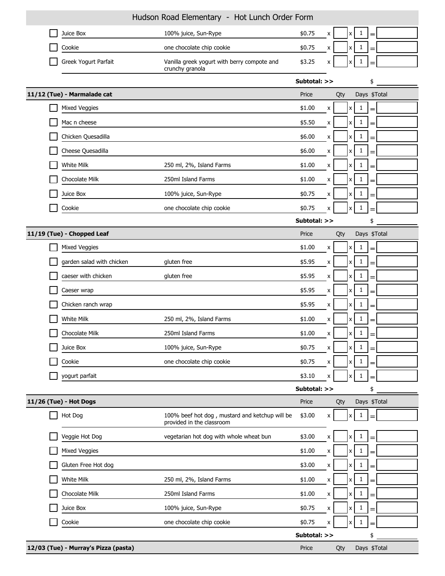| Hudson Road Elementary - Hot Lunch Order Form |                                      |                                                                             |              |                    |     |                           |              |     |  |
|-----------------------------------------------|--------------------------------------|-----------------------------------------------------------------------------|--------------|--------------------|-----|---------------------------|--------------|-----|--|
|                                               | Juice Box                            | 100% juice, Sun-Rype                                                        | \$0.75       | X                  |     | $\boldsymbol{\mathsf{x}}$ | 1            | $=$ |  |
|                                               | Cookie                               | one chocolate chip cookie                                                   | \$0.75       | X                  |     | $x \mid$                  | $\mathbf{1}$ | =   |  |
|                                               | Greek Yogurt Parfait                 | Vanilla greek yogurt with berry compote and<br>crunchy granola              | \$3.25       | x                  |     | X                         | 1            |     |  |
|                                               |                                      |                                                                             | Subtotal: >> |                    |     |                           |              | \$  |  |
|                                               | 11/12 (Tue) - Marmalade cat          |                                                                             | Price        |                    | Qty |                           | Days \$Total |     |  |
|                                               | <b>Mixed Veggies</b>                 |                                                                             | \$1.00       | X                  |     | $\boldsymbol{\mathsf{x}}$ | 1            |     |  |
|                                               | Mac n cheese                         |                                                                             | \$5.50       | X                  |     | $\mathsf{x}$              | 1            | $=$ |  |
|                                               | Chicken Quesadilla                   |                                                                             | \$6.00       | X                  |     | $\mathsf{x}$              | 1            | $=$ |  |
|                                               | Cheese Quesadilla                    |                                                                             | \$6.00       | x                  |     | $x \mid$                  | 1            | $=$ |  |
|                                               | White Milk                           | 250 ml, 2%, Island Farms                                                    | \$1.00       | X                  |     | $\boldsymbol{\mathsf{x}}$ | 1            | =   |  |
|                                               | Chocolate Milk                       | 250ml Island Farms                                                          | \$1.00       | $\pmb{\times}$     |     | x                         | 1            | =   |  |
|                                               | Juice Box                            | 100% juice, Sun-Rype                                                        | \$0.75       | X                  |     | x                         | $\mathbf{1}$ | $=$ |  |
|                                               | Cookie                               | one chocolate chip cookie                                                   | \$0.75       | x                  |     | x                         | 1            |     |  |
|                                               |                                      |                                                                             | Subtotal: >> |                    |     |                           |              | \$  |  |
|                                               | 11/19 (Tue) - Chopped Leaf           |                                                                             | Price        |                    | Qty |                           | Days \$Total |     |  |
|                                               | Mixed Veggies                        |                                                                             | \$1.00       | X                  |     | $\boldsymbol{\mathsf{x}}$ | $\mathbf{1}$ | =   |  |
|                                               | garden salad with chicken            | gluten free                                                                 | \$5.95       | X                  |     | x                         | 1            | =   |  |
|                                               | caeser with chicken                  | gluten free                                                                 | \$5.95       | X                  |     | $x \mid$                  | $\mathbf{1}$ | =   |  |
|                                               | Caeser wrap                          |                                                                             | \$5.95       | X                  |     | $x \mid$                  | $\mathbf{1}$ | $=$ |  |
|                                               | Chicken ranch wrap                   |                                                                             | \$5.95       | X                  |     | $\boldsymbol{\mathsf{x}}$ | $\mathbf{1}$ | $=$ |  |
|                                               | White Milk                           | 250 ml, 2%, Island Farms                                                    | \$1.00       | X                  |     | x                         | 1            |     |  |
|                                               | Chocolate Milk                       | 250ml Island Farms                                                          | \$1.00       | X                  |     | x <sub>1</sub>            | $\mathbf{1}$ |     |  |
|                                               | Juice Box                            | 100% juice, Sun-Rype                                                        | \$0.75       | x                  |     | $\mathsf{x}$              | 1            |     |  |
|                                               | Cookie                               | one chocolate chip cookie                                                   | \$0.75       | $\pmb{\mathsf{x}}$ |     | $\boldsymbol{\mathsf{x}}$ | $\mathbf{1}$ | $=$ |  |
|                                               | yogurt parfait                       |                                                                             | \$3.10       | x                  |     | x                         |              |     |  |
|                                               |                                      |                                                                             | Subtotal: >> |                    |     |                           |              | \$  |  |
|                                               | 11/26 (Tue) - Hot Dogs               |                                                                             | Price        |                    | Qty |                           | Days \$Total |     |  |
|                                               | Hot Dog                              | 100% beef hot dog, mustard and ketchup will be<br>provided in the classroom | \$3.00       | X                  |     | x                         | 1            |     |  |
|                                               | Veggie Hot Dog                       | vegetarian hot dog with whole wheat bun                                     | \$3.00       | X                  |     | $\mathsf{x}$              | 1            | =   |  |
|                                               | Mixed Veggies                        |                                                                             | \$1.00       | $\pmb{\mathsf{X}}$ |     | $\boldsymbol{\mathsf{X}}$ | $\mathbf{1}$ | =   |  |
|                                               | Gluten Free Hot dog                  |                                                                             | \$3.00       | x                  |     | $\mathsf{x}$              | 1            |     |  |
|                                               | White Milk                           | 250 ml, 2%, Island Farms                                                    | \$1.00       | $\pmb{\mathsf{x}}$ |     | x                         | 1            |     |  |
|                                               | Chocolate Milk                       | 250ml Island Farms                                                          | \$1.00       | $\pmb{\mathsf{x}}$ |     | $\boldsymbol{\mathsf{x}}$ | $\mathbf{1}$ | =   |  |
|                                               | Juice Box                            | 100% juice, Sun-Rype                                                        | \$0.75       | X                  |     | x                         | 1            | $=$ |  |
|                                               | Cookie                               | one chocolate chip cookie                                                   | \$0.75       | x                  |     | x                         | 1            |     |  |
| Subtotal: >>                                  |                                      |                                                                             |              |                    |     |                           |              | \$  |  |
|                                               | 12/03 (Tue) - Murray's Pizza (pasta) |                                                                             | Price        |                    | Qty |                           | Days \$Total |     |  |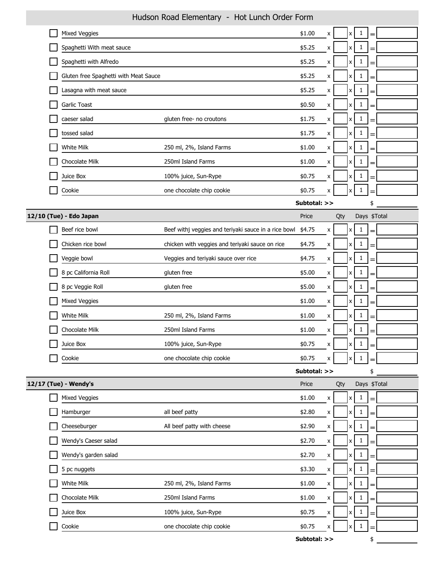|                                       | <b>HUUSUH KUUU LICHICHUHY</b><br><b>TIOL LUTION OT UCT TOTHE</b> |              |             |     |                           |              |     |  |
|---------------------------------------|------------------------------------------------------------------|--------------|-------------|-----|---------------------------|--------------|-----|--|
| Mixed Veggies                         |                                                                  | \$1.00       | X           |     | $\boldsymbol{\mathsf{x}}$ | $\mathbf{1}$ | =   |  |
| Spaghetti With meat sauce             |                                                                  | \$5.25       | x           |     | $\boldsymbol{\mathsf{x}}$ | $\mathbf{1}$ |     |  |
| Spaghetti with Alfredo                |                                                                  | \$5.25       | X           |     | $\boldsymbol{\mathsf{x}}$ | 1            |     |  |
| Gluten free Spaghetti with Meat Sauce |                                                                  | \$5.25       | X           |     | x                         | $\mathbf{1}$ | =   |  |
| Lasagna with meat sauce               |                                                                  | \$5.25       | X           |     | x                         | $\mathbf{1}$ | $=$ |  |
| Garlic Toast                          |                                                                  | \$0.50       | X           |     | x                         | $\mathbf{1}$ | =   |  |
| caeser salad                          | gluten free- no croutons                                         | \$1.75       | x           |     | x                         | $\mathbf{1}$ | =   |  |
| tossed salad                          |                                                                  | \$1.75       | X           |     | $\boldsymbol{\mathsf{x}}$ | $\mathbf{1}$ | =   |  |
| White Milk                            | 250 ml, 2%, Island Farms                                         | \$1.00       | x           |     | $x \mid$                  | $\mathbf{1}$ |     |  |
| Chocolate Milk                        | 250ml Island Farms                                               | \$1.00       | X           |     | x                         | $\mathbf{1}$ |     |  |
| Juice Box                             | 100% juice, Sun-Rype                                             | \$0.75       | x           |     | x                         | $\mathbf{1}$ | =   |  |
| Cookie                                | one chocolate chip cookie                                        | \$0.75       | X           |     | x                         | 1            |     |  |
|                                       |                                                                  | Subtotal: >> |             |     |                           |              | \$  |  |
| 12/10 (Tue) - Edo Japan               |                                                                  | Price        |             | Qty |                           | Days \$Total |     |  |
| Beef rice bowl                        | Beef withj veggies and teriyaki sauce in a rice bowl             | \$4.75       | X           |     | x                         | $\mathbf{1}$ | $=$ |  |
| Chicken rice bowl                     | chicken with veggies and teriyaki sauce on rice                  | \$4.75       | x           |     | $\boldsymbol{x}$          | $\mathbf{1}$ |     |  |
| Veggie bowl                           | Veggies and teriyaki sauce over rice                             | \$4.75       | X           |     | X                         | $\mathbf{1}$ | $=$ |  |
| 8 pc California Roll                  | gluten free                                                      | \$5.00       | X           |     | $\boldsymbol{\mathsf{x}}$ | $\mathbf{1}$ | =   |  |
| 8 pc Veggie Roll                      | gluten free                                                      | \$5.00       | X           |     | x                         | $\mathbf{1}$ |     |  |
| Mixed Veggies                         |                                                                  | \$1.00       | X           |     | x                         | $1\,$        |     |  |
| White Milk                            | 250 ml, 2%, Island Farms                                         | \$1.00       | X           |     | X                         | $\mathbf{1}$ | =   |  |
| Chocolate Milk                        | 250ml Island Farms                                               | \$1.00       | X           |     | x                         | $\mathbf{1}$ |     |  |
| Juice Box                             | 100% juice, Sun-Rype                                             | \$0.75       | $\mathbf x$ |     | χI                        | $\mathbf{1}$ |     |  |
| Cookie                                | one chocolate chip cookie                                        | \$0.75       | X           |     | $\pmb{\mathsf{x}}$        | 1            |     |  |
|                                       |                                                                  | Subtotal: >> |             |     |                           |              | \$  |  |
| 12/17 (Tue) - Wendy's                 |                                                                  | Price        |             | Qty |                           | Days \$Total |     |  |
| <b>Mixed Veggies</b>                  |                                                                  | \$1.00       | x           |     | x                         | $\mathbf{1}$ | =   |  |
| Hamburger                             | all beef patty                                                   | \$2.80       | Χ           |     | X                         | $\mathbf{1}$ | =   |  |
| Cheeseburger                          | All beef patty with cheese                                       | \$2.90       | X           |     | $\boldsymbol{\mathsf{x}}$ | $\mathbf{1}$ |     |  |
| Wendy's Caeser salad                  |                                                                  | \$2.70       | X           |     | $\boldsymbol{\mathsf{x}}$ | $\mathbf{1}$ | =   |  |
| Wendy's garden salad                  |                                                                  | \$2.70       | X           |     | x                         | $\mathbf{1}$ | =   |  |
| 5 pc nuggets                          |                                                                  | \$3.30       | X           |     | x                         | $\mathbf{1}$ | =   |  |
| White Milk                            | 250 ml, 2%, Island Farms                                         | \$1.00       | X           |     | $\boldsymbol{\mathsf{x}}$ | $\mathbf{1}$ |     |  |
| Chocolate Milk                        | 250ml Island Farms                                               | \$1.00       | x           |     | x                         | $\mathbf{1}$ |     |  |
| Juice Box                             | 100% juice, Sun-Rype                                             | \$0.75       | X           |     | $\boldsymbol{\mathsf{X}}$ | $\mathbf{1}$ | =   |  |
| Cookie                                | one chocolate chip cookie                                        | \$0.75       | X           |     | x                         | 1            |     |  |
|                                       |                                                                  |              |             |     |                           |              |     |  |

## Hudson Road Elementary - Hot Lunch Order Form

**Subtotal: >>** \$